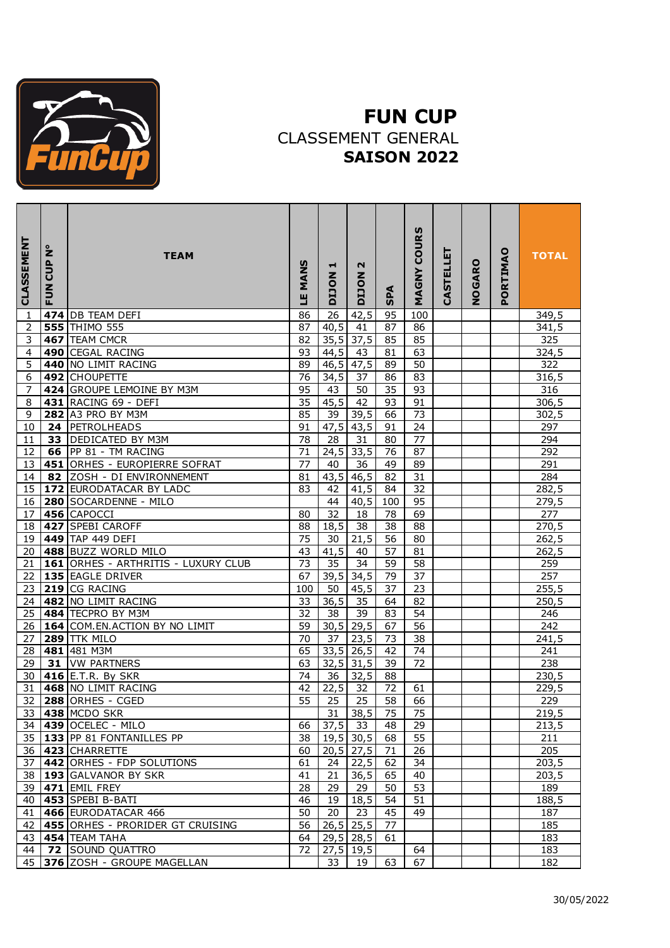

## **FUN CUP** CLASSEMENT GENERAL **SAISON 2022**

| CLASSEMENT | Ż<br>CUP<br>FUN | <b>TEAM</b>                         | MANS<br>Щ       | ᆏ<br><b>NOLIO</b> | N<br><b>NOCTO</b> | SPA             | <b>COURS</b><br><b>MAGNY</b> | <b>CASTELLET</b> | NOGARO | PORTIMAO | <b>TOTAL</b> |
|------------|-----------------|-------------------------------------|-----------------|-------------------|-------------------|-----------------|------------------------------|------------------|--------|----------|--------------|
| 1          |                 | 474 DB TEAM DEFI                    | 86              | 26                | 42,5              | 95              | 100                          |                  |        |          | 349,5        |
| 2          |                 | <b>555 THIMO 555</b>                | 87              | 40,5              | $\overline{41}$   | 87              | 86                           |                  |        |          | 341,5        |
| 3          | 467             | <b>TEAM CMCR</b>                    | 82              | 35,5              | $\overline{37,5}$ | 85              | 85                           |                  |        |          | 325          |
| 4          |                 | 490 CEGAL RACING                    | 93              | 44,5              | 43                | 81              | 63                           |                  |        |          | 324,5        |
| 5          |                 | 440 NO LIMIT RACING                 | 89              | 46,5              | 47,5              | 89              | 50                           |                  |        |          | 322          |
| 6          |                 | 492 CHOUPETTE                       | 76              | 34,5              | $\overline{37}$   | 86              | $\overline{83}$              |                  |        |          | 316,5        |
| 7          |                 | 424 GROUPE LEMOINE BY M3M           | 95              | 43                | 50                | $\overline{35}$ | 93                           |                  |        |          | 316          |
| 8          |                 | 431 RACING 69 - DEFI                | 35              | 45,5              | 42                | 93              | 91                           |                  |        |          | 306,5        |
| 9          |                 | 282 A3 PRO BY M3M                   | 85              | 39                | 39,5              | 66              | 73                           |                  |        |          | 302,5        |
| 10         | 24              | PETROLHEADS                         | 91              | 47,5              | 43,5              | 91              | 24                           |                  |        |          | 297          |
| 11         | 33              | <b>DEDICATED BY M3M</b>             | 78              | 28                | 31                | 80              | 77                           |                  |        |          | 294          |
| 12         | 66              | PP 81 - TM RACING                   | $\overline{71}$ | 24,5              | 33,5              | $\overline{76}$ | 87                           |                  |        |          | 292          |
| 13         |                 | 451 ORHES - EUROPIERRE SOFRAT       | 77              | 40                | 36                | 49              | 89                           |                  |        |          | 291          |
| 14         | 82              | ZOSH - DI ENVIRONNEMENT             | 81              | 43,5              | 46,5              | $\overline{82}$ | $\overline{31}$              |                  |        |          | 284          |
| 15         |                 | 172 EURODATACAR BY LADC             | 83              | 42                | 41,5              | 84              | 32                           |                  |        |          | 282,5        |
| 16         |                 | 280 SOCARDENNE - MILO               |                 | 44                | 40,5              | 100             | 95                           |                  |        |          | 279,5        |
| 17         |                 | 456 CAPOCCI                         | 80              | 32                | 18                | 78              | 69                           |                  |        |          | 277          |
| 18         |                 | 427 SPEBI CAROFF                    | 88              | 18,5              | 38                | 38              | 88                           |                  |        |          | 270,5        |
| 19         |                 | 449 TAP 449 DEFI                    | 75              | 30                | $\overline{21,5}$ | 56              | 80                           |                  |        |          | 262,5        |
| 20         |                 | 488 BUZZ WORLD MILO                 | 43              | 41,5              | 40                | $\overline{57}$ | 81                           |                  |        |          | 262,5        |
| 21         |                 | 161 ORHES - ARTHRITIS - LUXURY CLUB | 73              | 35                | 34                | 59              | 58                           |                  |        |          | 259          |
| 22         |                 | 135 EAGLE DRIVER                    | 67              | 39,5              | 34,5              | 79              | 37                           |                  |        |          | 257          |
| 23         |                 | 219 CG RACING                       | 100             | 50                | 45,5              | 37              | 23                           |                  |        |          | 255, 5       |
| 24         |                 | 482 NO LIMIT RACING                 | 33              | 36,5              | 35                | 64              | 82                           |                  |        |          | 250,5        |
| 25         |                 | 484 TECPRO BY M3M                   | $\overline{32}$ | 38                | 39                | 83              | 54                           |                  |        |          | 246          |
| 26         |                 | 164 COM.EN.ACTION BY NO LIMIT       | $\overline{59}$ | 30,5              | 29,5              | 67              | 56                           |                  |        |          | 242          |
| 27         |                 | <b>289 TTK MILO</b>                 | 70              | 37                | 23,5              | 73              | 38                           |                  |        |          | 241,5        |
| 28         | 481             | $\overline{1481}$ M3M               | 65              | 33,5              | 26,5              | 42              | 74                           |                  |        |          | 241          |
| 29         | 31              | <b>VW PARTNERS</b>                  | 63              | 32,5              | 31,5              | 39              | 72                           |                  |        |          | 238          |
| 30         |                 | 416 E.T.R. By SKR                   | 74              | 36                | 32,5              | 88              |                              |                  |        |          | 230,5        |
| 31         |                 | 468 NO LIMIT RACING                 | 42              | 22,5              | 32                | 72              | 61                           |                  |        |          | 229,5        |
| 32         |                 | 288 ORHES - CGED                    | $\overline{55}$ | 25                | 25                | 58              | 66                           |                  |        |          | 229          |
| 33 I       |                 | 438 MCDO SKR                        |                 | 31                | 38,5              | -75             | 75                           |                  |        |          | 219,5        |
| 34         |                 | 439 OCELEC - MILO                   | 66              | 37,5              | 33                | 48              | 29                           |                  |        |          | 213,5        |
| 35         |                 | 133 PP 81 FONTANILLES PP            | 38              |                   | $19,5$ 30,5       | 68              | 55                           |                  |        |          | 211          |
| 36         |                 | 423 CHARRETTE                       | 60              |                   | $20,5$ 27,5       | 71              | 26                           |                  |        |          | 205          |
| 37         |                 | 442 ORHES - FDP SOLUTIONS           | 61              | 24                | 22,5              | 62              | 34                           |                  |        |          | 203,5        |
| 38         |                 | 193 GALVANOR BY SKR                 | 41              | 21                | 36,5              | 65              | 40                           |                  |        |          | 203,5        |
| 39         |                 | 471 EMIL FREY                       | 28              | 29                | 29                | 50              | $\overline{53}$              |                  |        |          | 189          |
| 40         |                 | 453 SPEBI B-BATI                    | 46              | 19                | 18,5              | 54              | 51                           |                  |        |          | 188,5        |
| 41         |                 | 466 EURODATACAR 466                 | 50              | 20                | 23                | 45              | 49                           |                  |        |          | 187          |
| 42         |                 | 455 ORHES - PRORIDER GT CRUISING    | 56              |                   | $26,5$ 25,5       | 77              |                              |                  |        |          | 185          |
| 43         |                 | 454 TEAM TAHA                       | 64              |                   | $29,5$ 28,5       | 61              |                              |                  |        |          | 183          |
| 44         |                 | <b>72 SOUND QUATTRO</b>             | 72              |                   | $27,5$ 19,5       |                 | 64                           |                  |        |          | 183          |
| 45         |                 | 376 ZOSH - GROUPE MAGELLAN          |                 | 33                | 19                | 63              | 67                           |                  |        |          | 182          |
|            |                 |                                     |                 |                   |                   |                 |                              |                  |        |          |              |